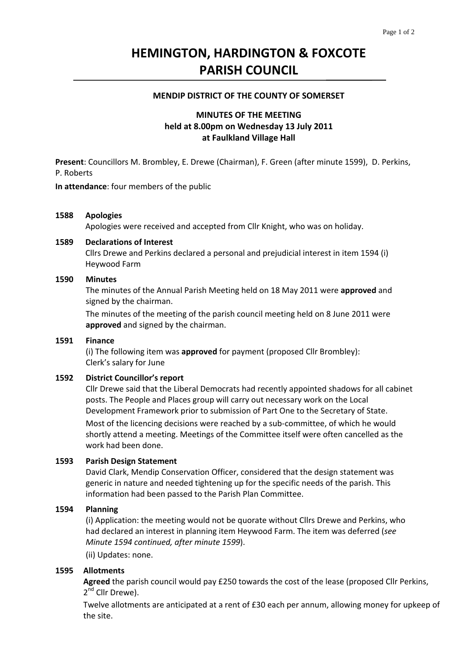# **HEMINGTON, HARDINGTON & FOXCOTE PARISH COUNCIL**

#### **MENDIP DISTRICT OF THE COUNTY OF SOMERSET**

# **MINUTES OF THE MEETING held at 8.00pm on Wednesday 13 July 2011 at Faulkland Village Hall**

**Present**: Councillors M. Brombley, E. Drewe (Chairman), F. Green (after minute 1599), D. Perkins, P. Roberts

**In attendance**: four members of the public

#### **1588 Apologies**

Apologies were received and accepted from Cllr Knight, who was on holiday.

#### **1589 Declarations of Interest**

Cllrs Drewe and Perkins declared a personal and prejudicial interest in item 1594 (i) Heywood Farm

#### **1590 Minutes**

The minutes of the Annual Parish Meeting held on 18 May 2011 were **approved** and signed by the chairman.

 The minutes of the meeting of the parish council meeting held on 8 June 2011 were **approved** and signed by the chairman.

#### **1591 Finance**

(i) The following item was **approved** for payment (proposed Cllr Brombley): Clerk's salary for June

#### **1592 District Councillor's report**

Cllr Drewe said that the Liberal Democrats had recently appointed shadows for all cabinet posts. The People and Places group will carry out necessary work on the Local Development Framework prior to submission of Part One to the Secretary of State.

Most of the licencing decisions were reached by a sub-committee, of which he would shortly attend a meeting. Meetings of the Committee itself were often cancelled as the work had been done.

#### **1593 Parish Design Statement**

David Clark, Mendip Conservation Officer, considered that the design statement was generic in nature and needed tightening up for the specific needs of the parish. This information had been passed to the Parish Plan Committee.

#### **1594 Planning**

(i) Application: the meeting would not be quorate without Cllrs Drewe and Perkins, who had declared an interest in planning item Heywood Farm. The item was deferred (*see Minute 1594 continued, after minute 1599*).

 (ii) Updates: none.

#### **1595 Allotments**

**Agreed** the parish council would pay £250 towards the cost of the lease (proposed Cllr Perkins, 2<sup>nd</sup> Cllr Drewe).

Twelve allotments are anticipated at a rent of £30 each per annum, allowing money for upkeep of the site.